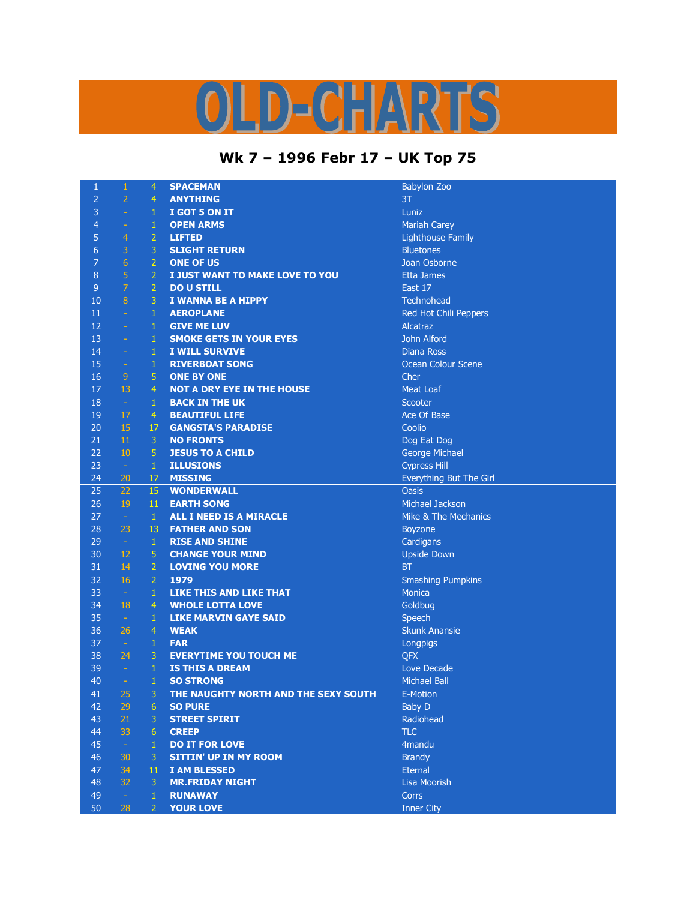## 0 LD-CHARTS

## **Wk 7 – 1996 Febr 17 – UK Top 75**

| $\mathbf{1}$    | $\mathbf{1}$     | 4              | <b>SPACEMAN</b>                      | Babylon Zo        |
|-----------------|------------------|----------------|--------------------------------------|-------------------|
| $\overline{2}$  | $\overline{2}$   | $\overline{4}$ | <b>ANYTHING</b>                      | 3T                |
| 3               | $\equiv$         | $\mathbf{1}$   | I GOT 5 ON IT                        | Luniz             |
| $\overline{4}$  | ÷                | $\mathbf 1$    | <b>OPEN ARMS</b>                     | <b>Mariah Car</b> |
| 5               | $\overline{4}$   | $\overline{2}$ | <b>LIFTED</b>                        | Lighthouse        |
| $6\phantom{1}6$ | 3                | 3              | <b>SLIGHT RETURN</b>                 | <b>Bluetones</b>  |
| $\overline{7}$  | 6                | $\overline{2}$ | <b>ONE OF US</b>                     | Joan Osbo         |
| 8               | 5                | $\overline{2}$ | I JUST WANT TO MAKE LOVE TO YOU      | <b>Etta James</b> |
| $\overline{9}$  | $\overline{7}$   | $\overline{2}$ | <b>DO U STILL</b>                    | East 17           |
| 10              | $\bf{8}$         | 3              | I WANNA BE A HIPPY                   | Technohea         |
| 11              | $\omega$         | $\mathbf{1}$   | <b>AEROPLANE</b>                     | Red Hot C         |
| 12              | $\Box$           | $\mathbf{1}$   | <b>GIVE ME LUV</b>                   | Alcatraz          |
| 13              | ÷                | $\mathbf{1}$   | <b>SMOKE GETS IN YOUR EYES</b>       | John Alfor        |
| 14              | $\Box$           | $\mathbf{1}$   | <b>I WILL SURVIVE</b>                | Diana Ross        |
| 15              | $\equiv$         | $\mathbf{1}$   | <b>RIVERBOAT SONG</b>                | Ocean Col         |
| 16              | 9                | 5              | <b>ONE BY ONE</b>                    | Cher              |
| 17              | 13               | $\overline{4}$ | <b>NOT A DRY EYE IN THE HOUSE</b>    | <b>Meat Loaf</b>  |
| 18              | $\sim$           | $\mathbf{1}$   | <b>BACK IN THE UK</b>                | Scooter           |
| 19              | 17               | 4              | <b>BEAUTIFUL LIFE</b>                | Ace Of Bas        |
| 20              | 15               | 17             | <b>GANGSTA'S PARADISE</b>            | Coolio            |
| 21              | 11               | 3              | <b>NO FRONTS</b>                     | Dog Eat D         |
| 22              | 10               | 5              | <b>JESUS TO A CHILD</b>              | George Mi         |
| 23              | $\sim$           | $\mathbf{1}$   | <b>ILLUSIONS</b>                     | <b>Cypress Hi</b> |
| 24              | 20               | 17             | <b>MISSING</b>                       | Everything        |
| 25              | 22               | 15             | <b>WONDERWALL</b>                    | <b>Oasis</b>      |
| 26              | 19               | 11             | <b>EARTH SONG</b>                    | Michael Ja        |
| 27              | $\omega$         | $\mathbf{1}$   | ALL I NEED IS A MIRACLE              | Mike & Th         |
| 28              | 23               | 13             | <b>FATHER AND SON</b>                | <b>Boyzone</b>    |
| 29              | $\sim$           | $\mathbf{1}$   | <b>RISE AND SHINE</b>                | Cardigans         |
| 30              | 12               | 5              | <b>CHANGE YOUR MIND</b>              | Upside Do         |
| 31              | 14               | $\overline{2}$ | <b>LOVING YOU MORE</b>               | <b>BT</b>         |
| 32              | 16               | $\overline{2}$ | 1979                                 | Smashing          |
| 33              | $\sim$           | $\mathbf{1}$   | <b>LIKE THIS AND LIKE THAT</b>       | Monica            |
| 34              | 18               | $\overline{4}$ | <b>WHOLE LOTTA LOVE</b>              | Goldbug           |
| 35              | $\sim$           | $\mathbf{1}$   | <b>LIKE MARVIN GAYE SAID</b>         | <b>Speech</b>     |
| 36              | 26               | $\overline{4}$ | <b>WEAK</b>                          | <b>Skunk Ana</b>  |
| 37              | $\sim$           | $\mathbf{1}$   | <b>FAR</b>                           | Longpigs          |
| 38              | 24               | 3              | <b>EVERYTIME YOU TOUCH ME</b>        | <b>QFX</b>        |
| 39              | $\equiv$         | $\mathbf{1}$   | <b>IS THIS A DREAM</b>               | Love Deca         |
| 40              | $\Box$           | $\mathbf{1}$   | <b>SO STRONG</b>                     | Michael Ba        |
| 41              | 25               | 3              | THE NAUGHTY NORTH AND THE SEXY SOUTH | E-Motion          |
| 42              | 29               | 6              | <b>SO PURE</b>                       | <b>Baby D</b>     |
| 43              | 21               | 3              | <b>STREET SPIRIT</b>                 | Radiohead         |
| 44              | 33               | $6\phantom{1}$ | <b>CREEP</b>                         | <b>TLC</b>        |
| 45              | $\omega_{\rm c}$ | $\mathbf{1}$   | <b>DO IT FOR LOVE</b>                | 4mandu            |
| 46              | 30               | 3              | <b>SITTIN' UP IN MY ROOM</b>         | <b>Brandy</b>     |
| 47              | 34               | 11             | <b>I AM BLESSED</b>                  | <b>Eternal</b>    |
| 48              | 32               | 3              | <b>MR.FRIDAY NIGHT</b>               | Lisa Moori:       |
| 49              | $\omega$         | $\mathbf{1}$   | <b>RUNAWAY</b>                       | Corrs             |
| 50              | 28               | $\overline{2}$ | <b>YOUR LOVE</b>                     | <b>Inner City</b> |
|                 |                  |                |                                      |                   |

**Babylon Zoo Mariah Carey Lighthouse Family Bluetones** Joan Osborne **Etta James** Technohead Red Hot Chili Peppers **John Alford Diana Ross Ocean Colour Scene Meat Loaf** Ace Of Base Dog Eat Dog **George Michael Cypress Hill** Everything But The Girl **Michael Jackson** Mike & The Mechanics **Boyzone Cardigans Upside Down Smashing Pumpkins** Goldbug **Skunk Anansie** Longpigs Love Decade **Michael Ball** Radiohead 4 mandu **Lisa Moorish**